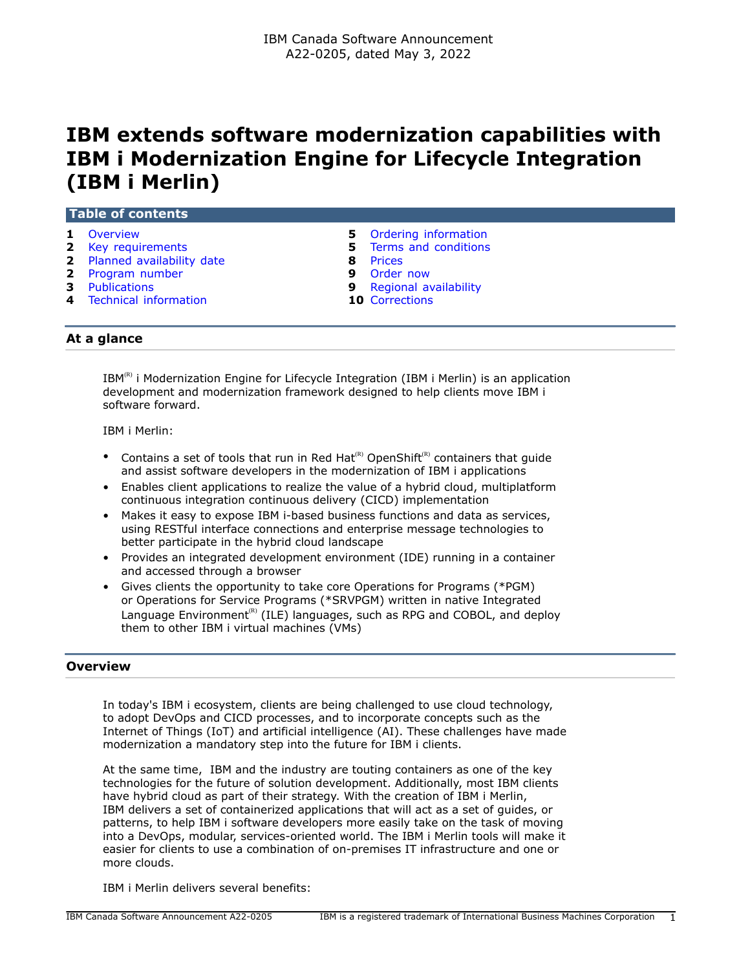# **IBM extends software modernization capabilities with IBM i Modernization Engine for Lifecycle Integration (IBM i Merlin)**

| <b>1</b> Overview           |   | 5 Ordering information        |  |
|-----------------------------|---|-------------------------------|--|
| 2 Key requirements          |   | <b>5</b> Terms and conditions |  |
| 2 Planned availability date | 8 | Prices                        |  |
| 2 Program number            | 9 | Order now                     |  |
| <b>3</b> Publications       |   | 9 Regional availability       |  |
| 4 Technical information     |   | <b>10 Corrections</b>         |  |

 $IBM^{(R)}$  i Modernization Engine for Lifecycle Integration (IBM i Merlin) is an application development and modernization framework designed to help clients move IBM i software forward.

IBM i Merlin:

- Contains a set of tools that run in Red Hat<sup>(R)</sup> OpenShift<sup>(R)</sup> containers that guide and assist software developers in the modernization of IBM i applications
- Enables client applications to realize the value of a hybrid cloud, multiplatform continuous integration continuous delivery (CICD) implementation
- Makes it easy to expose IBM i-based business functions and data as services, using RESTful interface connections and enterprise message technologies to better participate in the hybrid cloud landscape
- Provides an integrated development environment (IDE) running in a container and accessed through a browser
- Gives clients the opportunity to take core Operations for Programs (\*PGM) or Operations for Service Programs (\*SRVPGM) written in native Integrated Language Environment<sup>(R)</sup> (ILE) languages, such as RPG and COBOL, and deploy them to other IBM i virtual machines (VMs)

# <span id="page-0-0"></span>**Overview**

In today's IBM i ecosystem, clients are being challenged to use cloud technology, to adopt DevOps and CICD processes, and to incorporate concepts such as the Internet of Things (IoT) and artificial intelligence (AI). These challenges have made modernization a mandatory step into the future for IBM i clients.

At the same time, IBM and the industry are touting containers as one of the key technologies for the future of solution development. Additionally, most IBM clients have hybrid cloud as part of their strategy. With the creation of IBM i Merlin, IBM delivers a set of containerized applications that will act as a set of guides, or patterns, to help IBM i software developers more easily take on the task of moving into a DevOps, modular, services-oriented world. The IBM i Merlin tools will make it easier for clients to use a combination of on-premises IT infrastructure and one or more clouds.

IBM i Merlin delivers several benefits: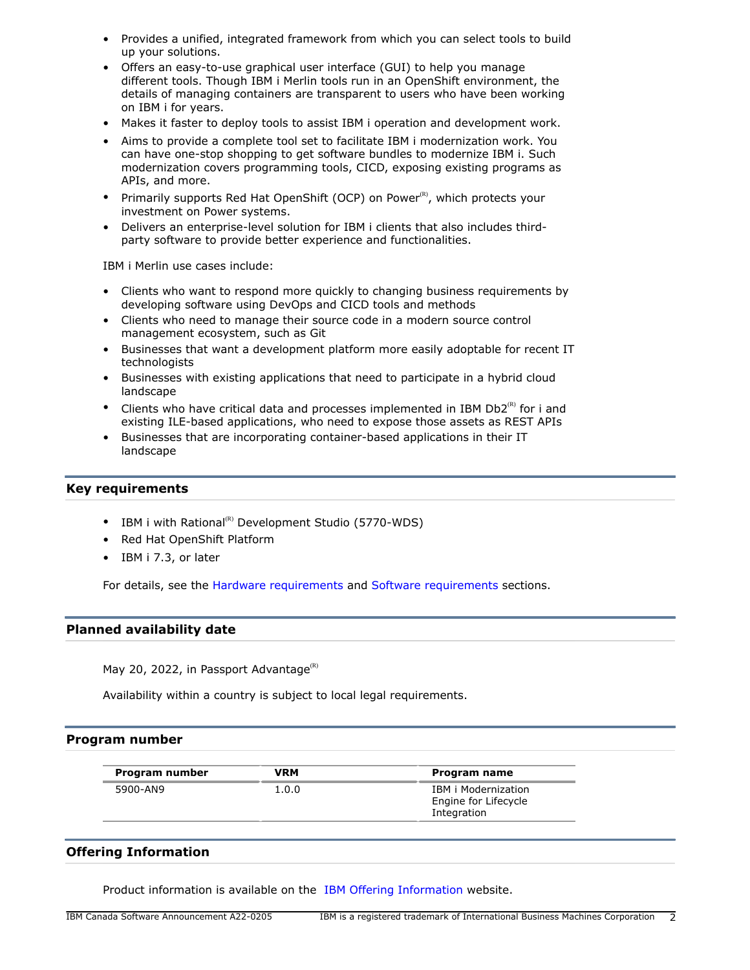- Provides a unified, integrated framework from which you can select tools to build up your solutions.
- Offers an easy-to-use graphical user interface (GUI) to help you manage different tools. Though IBM i Merlin tools run in an OpenShift environment, the details of managing containers are transparent to users who have been working on IBM i for years.
- Makes it faster to deploy tools to assist IBM i operation and development work.
- Aims to provide a complete tool set to facilitate IBM i modernization work. You can have one-stop shopping to get software bundles to modernize IBM i. Such modernization covers programming tools, CICD, exposing existing programs as APIs, and more.
- Primarily supports Red Hat OpenShift (OCP) on Power $\alpha$ , which protects your investment on Power systems.
- Delivers an enterprise-level solution for IBM i clients that also includes thirdparty software to provide better experience and functionalities.

IBM i Merlin use cases include:

- Clients who want to respond more quickly to changing business requirements by developing software using DevOps and CICD tools and methods
- Clients who need to manage their source code in a modern source control management ecosystem, such as Git
- Businesses that want a development platform more easily adoptable for recent IT technologists
- Businesses with existing applications that need to participate in a hybrid cloud landscape
- Clients who have critical data and processes implemented in IBM Db2 $^{(R)}$  for i and existing ILE-based applications, who need to expose those assets as REST APIs
- Businesses that are incorporating container-based applications in their IT landscape

# <span id="page-1-0"></span>**Key requirements**

- IBM i with Rational<sup>(R)</sup> Development Studio (5770-WDS)
- Red Hat OpenShift Platform
- IBM i 7.3, or later

For details, see the [Hardware requirements](#page-3-1) and [Software requirements](#page-3-2) sections.

# <span id="page-1-1"></span>**Planned availability date**

May 20, 2022, in Passport Advantage $<sup>(R)</sup>$ </sup>

Availability within a country is subject to local legal requirements.

# <span id="page-1-2"></span>**Program number**

| Program number | VRM   | Program name                                               |
|----------------|-------|------------------------------------------------------------|
| 5900-AN9       | 1.0.0 | IBM i Modernization<br>Engine for Lifecycle<br>Integration |

# **Offering Information**

Product information is available on the [IBM Offering Information](http://www.ibm.com/common/ssi) website.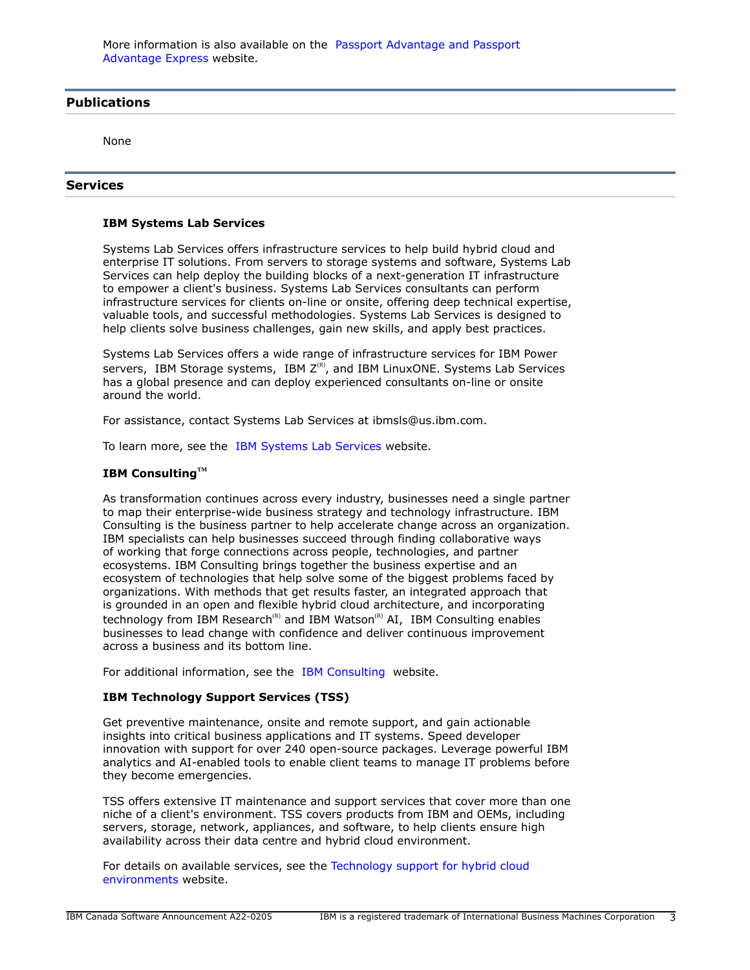# <span id="page-2-0"></span>**Publications**

None

## **Services**

## **IBM Systems Lab Services**

Systems Lab Services offers infrastructure services to help build hybrid cloud and enterprise IT solutions. From servers to storage systems and software, Systems Lab Services can help deploy the building blocks of a next-generation IT infrastructure to empower a client's business. Systems Lab Services consultants can perform infrastructure services for clients on-line or onsite, offering deep technical expertise, valuable tools, and successful methodologies. Systems Lab Services is designed to help clients solve business challenges, gain new skills, and apply best practices.

Systems Lab Services offers a wide range of infrastructure services for IBM Power servers, IBM Storage systems, IBM  $Z^{(R)}$ , and IBM LinuxONE. Systems Lab Services has a global presence and can deploy experienced consultants on-line or onsite around the world.

For assistance, contact Systems Lab Services at ibmsls@us.ibm.com.

To learn more, see the [IBM Systems Lab Services](https://www.ibm.com/it-infrastructure/services/lab-services) website.

# **IBM ConsultingTM**

As transformation continues across every industry, businesses need a single partner to map their enterprise-wide business strategy and technology infrastructure. IBM Consulting is the business partner to help accelerate change across an organization. IBM specialists can help businesses succeed through finding collaborative ways of working that forge connections across people, technologies, and partner ecosystems. IBM Consulting brings together the business expertise and an ecosystem of technologies that help solve some of the biggest problems faced by organizations. With methods that get results faster, an integrated approach that is grounded in an open and flexible hybrid cloud architecture, and incorporating technology from IBM Research<sup>(R)</sup> and IBM Watson<sup>(R)</sup> AI, IBM Consulting enables businesses to lead change with confidence and deliver continuous improvement across a business and its bottom line.

For additional information, see the [IBM Consulting](https://www.ibm.com/consulting) website.

## **IBM Technology Support Services (TSS)**

Get preventive maintenance, onsite and remote support, and gain actionable insights into critical business applications and IT systems. Speed developer innovation with support for over 240 open-source packages. Leverage powerful IBM analytics and AI-enabled tools to enable client teams to manage IT problems before they become emergencies.

TSS offers extensive IT maintenance and support services that cover more than one niche of a client's environment. TSS covers products from IBM and OEMs, including servers, storage, network, appliances, and software, to help clients ensure high availability across their data centre and hybrid cloud environment.

For details on available services, see the [Technology support for hybrid cloud](https://www.ibm.com/services/technology-support) [environments](https://www.ibm.com/services/technology-support) website.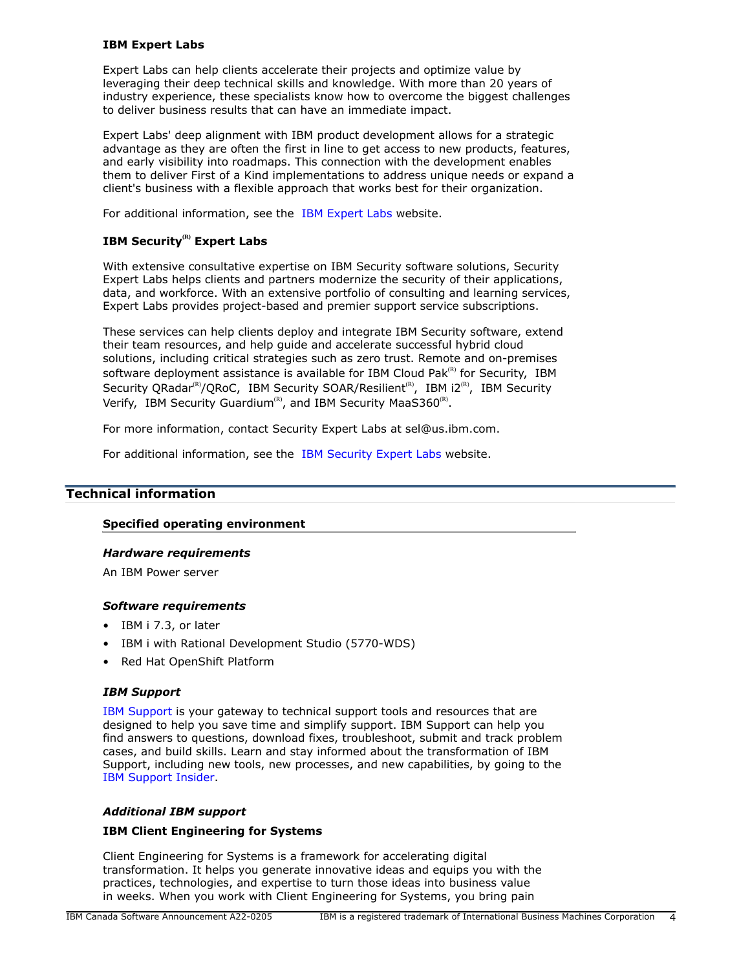# **IBM Expert Labs**

Expert Labs can help clients accelerate their projects and optimize value by leveraging their deep technical skills and knowledge. With more than 20 years of industry experience, these specialists know how to overcome the biggest challenges to deliver business results that can have an immediate impact.

Expert Labs' deep alignment with IBM product development allows for a strategic advantage as they are often the first in line to get access to new products, features, and early visibility into roadmaps. This connection with the development enables them to deliver First of a Kind implementations to address unique needs or expand a client's business with a flexible approach that works best for their organization.

For additional information, see the [IBM Expert Labs](https://www.ibm.com/products/expertlabs) website.

# **IBM Security(R) Expert Labs**

With extensive consultative expertise on IBM Security software solutions, Security Expert Labs helps clients and partners modernize the security of their applications, data, and workforce. With an extensive portfolio of consulting and learning services, Expert Labs provides project-based and premier support service subscriptions.

These services can help clients deploy and integrate IBM Security software, extend their team resources, and help guide and accelerate successful hybrid cloud solutions, including critical strategies such as zero trust. Remote and on-premises software deployment assistance is available for IBM Cloud Pak $R<sup>(R)</sup>$  for Security, IBM Security QRadar<sup>(R)</sup>/QRoC, IBM Security SOAR/Resilient<sup>(R)</sup>, IBM i2<sup>(R)</sup>, IBM Security Verify, IBM Security Guardium<sup>(R)</sup>, and IBM Security MaaS360<sup>(R)</sup>.

For more information, contact Security Expert Labs at sel@us.ibm.com.

For additional information, see the [IBM Security Expert Labs](https://www.ibm.com/security/security-expert-labs) website.

# <span id="page-3-0"></span>**Technical information**

# **Specified operating environment**

# <span id="page-3-1"></span>*Hardware requirements*

An IBM Power server

# <span id="page-3-2"></span>*Software requirements*

- IBM i 7.3, or later
- IBM i with Rational Development Studio (5770-WDS)
- Red Hat OpenShift Platform

## *IBM Support*

[IBM Support](https://www.ibm.com/support) is your gateway to technical support tools and resources that are designed to help you save time and simplify support. IBM Support can help you find answers to questions, download fixes, troubleshoot, submit and track problem cases, and build skills. Learn and stay informed about the transformation of IBM Support, including new tools, new processes, and new capabilities, by going to the [IBM Support Insider](https://www.ibm.com/support/insider).

# *Additional IBM support*

# **IBM Client Engineering for Systems**

Client Engineering for Systems is a framework for accelerating digital transformation. It helps you generate innovative ideas and equips you with the practices, technologies, and expertise to turn those ideas into business value in weeks. When you work with Client Engineering for Systems, you bring pain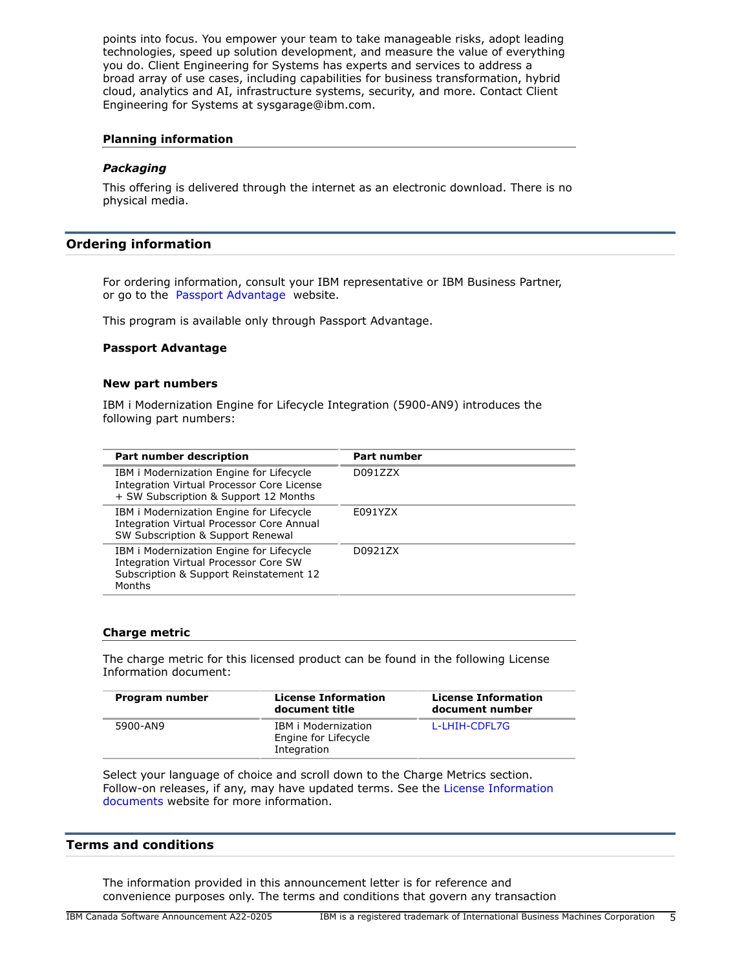points into focus. You empower your team to take manageable risks, adopt leading technologies, speed up solution development, and measure the value of everything you do. Client Engineering for Systems has experts and services to address a broad array of use cases, including capabilities for business transformation, hybrid cloud, analytics and AI, infrastructure systems, security, and more. Contact Client Engineering for Systems at sysgarage@ibm.com.

## **Planning information**

## *Packaging*

This offering is delivered through the internet as an electronic download. There is no physical media.

# <span id="page-4-0"></span>**Ordering information**

For ordering information, consult your IBM representative or IBM Business Partner, or go to the [Passport Advantage](https://www.ibm.com/software/passportadvantage/) website.

This program is available only through Passport Advantage.

#### **Passport Advantage**

#### **New part numbers**

IBM i Modernization Engine for Lifecycle Integration (5900-AN9) introduces the following part numbers:

| Part number description                                                                                                                              | <b>Part number</b> |
|------------------------------------------------------------------------------------------------------------------------------------------------------|--------------------|
| IBM i Modernization Engine for Lifecycle<br>Integration Virtual Processor Core License<br>+ SW Subscription & Support 12 Months                      | D091ZZX            |
| IBM i Modernization Engine for Lifecycle<br>Integration Virtual Processor Core Annual<br>SW Subscription & Support Renewal                           | E091YZX            |
| IBM i Modernization Engine for Lifecycle<br><b>Integration Virtual Processor Core SW</b><br>Subscription & Support Reinstatement 12<br><b>Months</b> | D0921ZX            |

## **Charge metric**

The charge metric for this licensed product can be found in the following License Information document:

| Program number | <b>License Information</b><br>document title                      | <b>License Information</b><br>document number |
|----------------|-------------------------------------------------------------------|-----------------------------------------------|
| 5900-AN9       | <b>IBM</b> i Modernization<br>Engine for Lifecycle<br>Integration | L-LHIH-CDFL7G                                 |

Select your language of choice and scroll down to the Charge Metrics section. Follow-on releases, if any, may have updated terms. See the [License Information](https://www.ibm.com/software/sla/sladb.nsf/search?OpenForm) [documents](https://www.ibm.com/software/sla/sladb.nsf/search?OpenForm) website for more information.

## <span id="page-4-1"></span>**Terms and conditions**

The information provided in this announcement letter is for reference and convenience purposes only. The terms and conditions that govern any transaction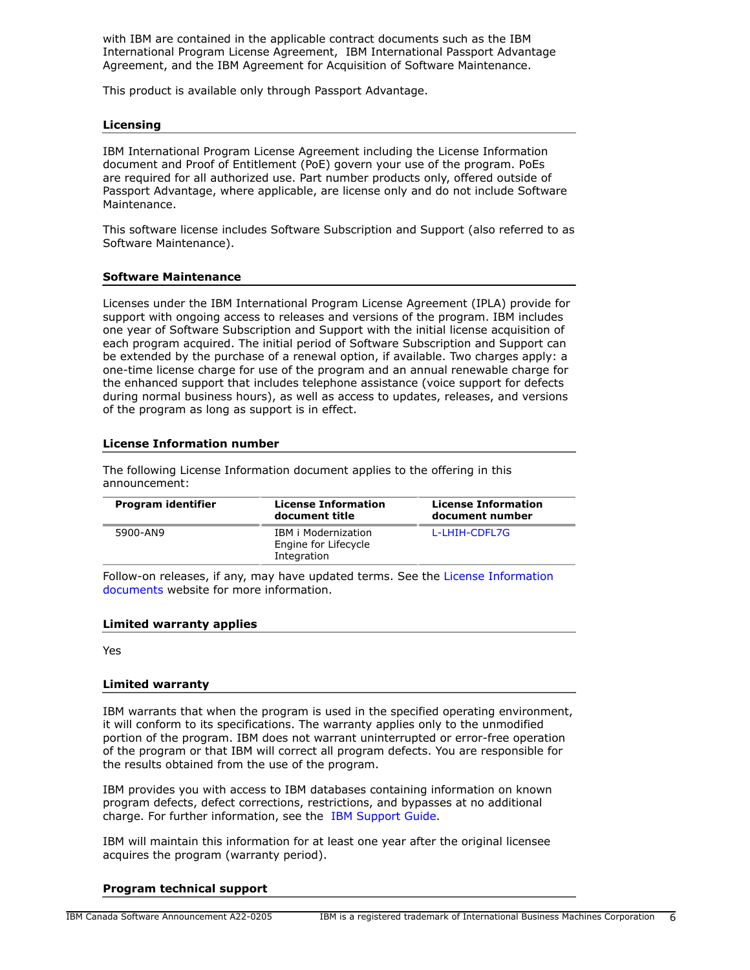with IBM are contained in the applicable contract documents such as the IBM International Program License Agreement, IBM International Passport Advantage Agreement, and the IBM Agreement for Acquisition of Software Maintenance.

This product is available only through Passport Advantage.

## **Licensing**

IBM International Program License Agreement including the License Information document and Proof of Entitlement (PoE) govern your use of the program. PoEs are required for all authorized use. Part number products only, offered outside of Passport Advantage, where applicable, are license only and do not include Software Maintenance.

This software license includes Software Subscription and Support (also referred to as Software Maintenance).

## **Software Maintenance**

Licenses under the IBM International Program License Agreement (IPLA) provide for support with ongoing access to releases and versions of the program. IBM includes one year of Software Subscription and Support with the initial license acquisition of each program acquired. The initial period of Software Subscription and Support can be extended by the purchase of a renewal option, if available. Two charges apply: a one-time license charge for use of the program and an annual renewable charge for the enhanced support that includes telephone assistance (voice support for defects during normal business hours), as well as access to updates, releases, and versions of the program as long as support is in effect.

## **License Information number**

The following License Information document applies to the offering in this announcement:

| Program identifier | <b>License Information</b><br>document title                      | <b>License Information</b><br>document number |
|--------------------|-------------------------------------------------------------------|-----------------------------------------------|
| 5900-AN9           | <b>IBM</b> i Modernization<br>Engine for Lifecycle<br>Integration | L-LHIH-CDFL7G                                 |

Follow-on releases, if any, may have updated terms. See the [License Information](https://www.ibm.com/software/sla/sladb.nsf/search?OpenForm) [documents](https://www.ibm.com/software/sla/sladb.nsf/search?OpenForm) website for more information.

## **Limited warranty applies**

Yes

## **Limited warranty**

IBM warrants that when the program is used in the specified operating environment, it will conform to its specifications. The warranty applies only to the unmodified portion of the program. IBM does not warrant uninterrupted or error-free operation of the program or that IBM will correct all program defects. You are responsible for the results obtained from the use of the program.

IBM provides you with access to IBM databases containing information on known program defects, defect corrections, restrictions, and bypasses at no additional charge. For further information, see the [IBM Support Guide](http://www.ibm.com/support/customercare/sas/f/handbook/home.html).

IBM will maintain this information for at least one year after the original licensee acquires the program (warranty period).

# **Program technical support**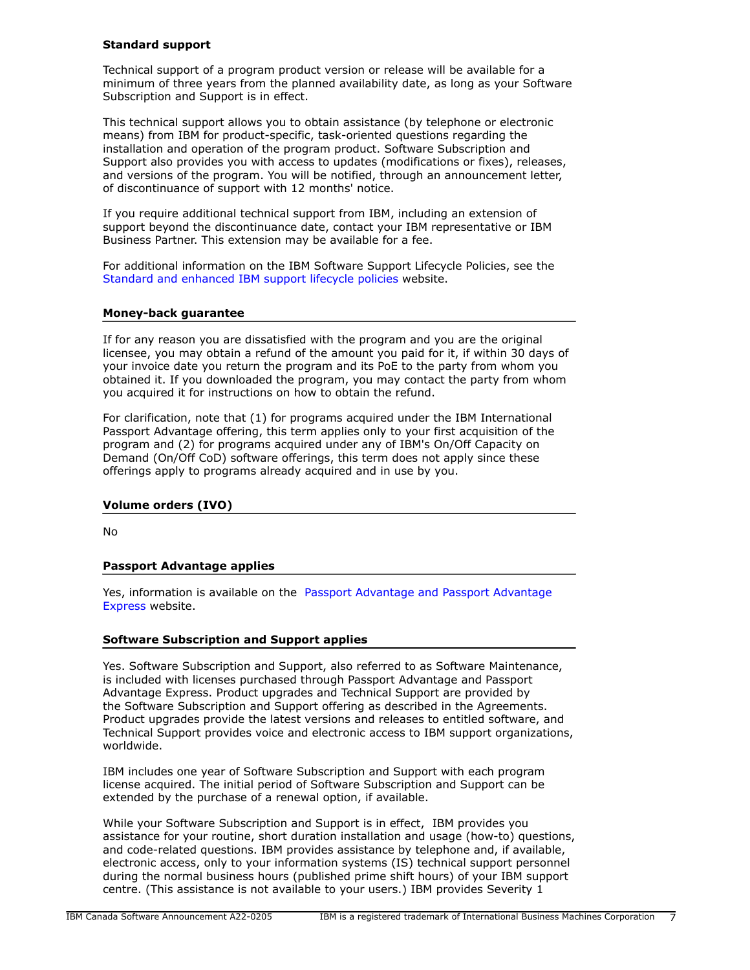## **Standard support**

Technical support of a program product version or release will be available for a minimum of three years from the planned availability date, as long as your Software Subscription and Support is in effect.

This technical support allows you to obtain assistance (by telephone or electronic means) from IBM for product-specific, task-oriented questions regarding the installation and operation of the program product. Software Subscription and Support also provides you with access to updates (modifications or fixes), releases, and versions of the program. You will be notified, through an announcement letter, of discontinuance of support with 12 months' notice.

If you require additional technical support from IBM, including an extension of support beyond the discontinuance date, contact your IBM representative or IBM Business Partner. This extension may be available for a fee.

For additional information on the IBM Software Support Lifecycle Policies, see the [Standard and enhanced IBM support lifecycle policies](http://www.ibm.com/software/support/lifecycle/lc-policy.html) website.

## **Money-back guarantee**

If for any reason you are dissatisfied with the program and you are the original licensee, you may obtain a refund of the amount you paid for it, if within 30 days of your invoice date you return the program and its PoE to the party from whom you obtained it. If you downloaded the program, you may contact the party from whom you acquired it for instructions on how to obtain the refund.

For clarification, note that (1) for programs acquired under the IBM International Passport Advantage offering, this term applies only to your first acquisition of the program and (2) for programs acquired under any of IBM's On/Off Capacity on Demand (On/Off CoD) software offerings, this term does not apply since these offerings apply to programs already acquired and in use by you.

## **Volume orders (IVO)**

No

## **Passport Advantage applies**

Yes, information is available on the [Passport Advantage and Passport Advantage](http://www.ibm.com/software/passportadvantage) [Express](http://www.ibm.com/software/passportadvantage) website.

## **Software Subscription and Support applies**

Yes. Software Subscription and Support, also referred to as Software Maintenance, is included with licenses purchased through Passport Advantage and Passport Advantage Express. Product upgrades and Technical Support are provided by the Software Subscription and Support offering as described in the Agreements. Product upgrades provide the latest versions and releases to entitled software, and Technical Support provides voice and electronic access to IBM support organizations, worldwide.

IBM includes one year of Software Subscription and Support with each program license acquired. The initial period of Software Subscription and Support can be extended by the purchase of a renewal option, if available.

While your Software Subscription and Support is in effect, IBM provides you assistance for your routine, short duration installation and usage (how-to) questions, and code-related questions. IBM provides assistance by telephone and, if available, electronic access, only to your information systems (IS) technical support personnel during the normal business hours (published prime shift hours) of your IBM support centre. (This assistance is not available to your users.) IBM provides Severity 1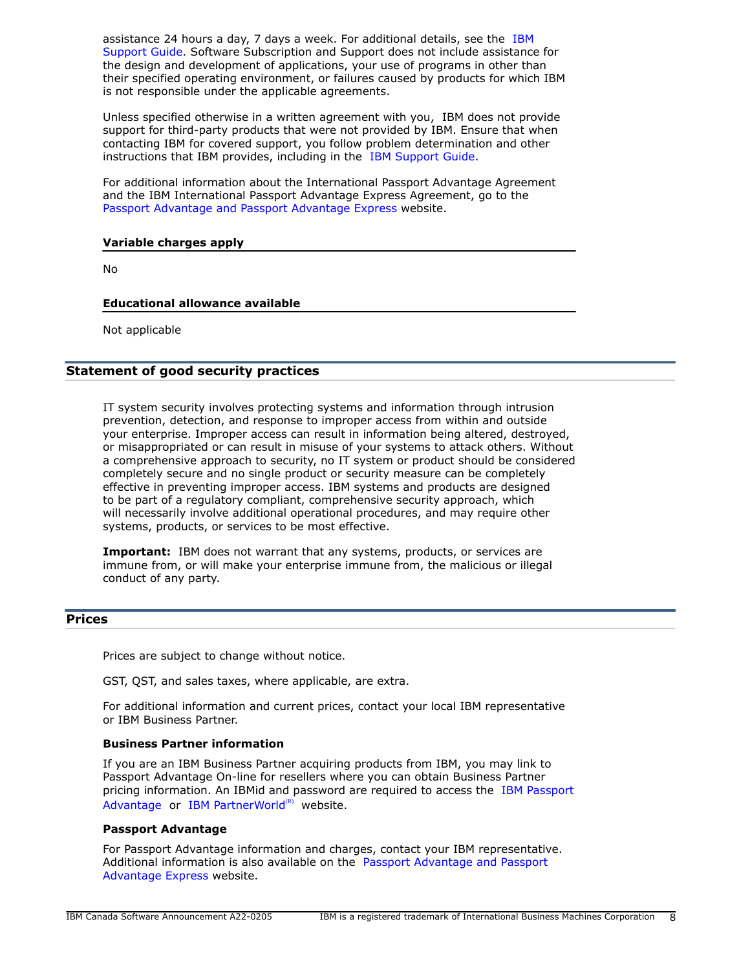assistance 24 hours a day, 7 days a week. For additional details, see the [IBM](http://www.ibm.com/support/customercare/sas/f/handbook/home.html) [Support Guide](http://www.ibm.com/support/customercare/sas/f/handbook/home.html). Software Subscription and Support does not include assistance for the design and development of applications, your use of programs in other than their specified operating environment, or failures caused by products for which IBM is not responsible under the applicable agreements.

Unless specified otherwise in a written agreement with you, IBM does not provide support for third-party products that were not provided by IBM. Ensure that when contacting IBM for covered support, you follow problem determination and other instructions that IBM provides, including in the [IBM Support Guide.](http://www.ibm.com/support/customercare/sas/f/handbook/home.html)

For additional information about the International Passport Advantage Agreement and the IBM International Passport Advantage Express Agreement, go to the [Passport Advantage and Passport Advantage Express](http://www.ibm.com/software/passportadvantage) website.

# **Variable charges apply**

No

# **Educational allowance available**

Not applicable

# **Statement of good security practices**

IT system security involves protecting systems and information through intrusion prevention, detection, and response to improper access from within and outside your enterprise. Improper access can result in information being altered, destroyed, or misappropriated or can result in misuse of your systems to attack others. Without a comprehensive approach to security, no IT system or product should be considered completely secure and no single product or security measure can be completely effective in preventing improper access. IBM systems and products are designed to be part of a regulatory compliant, comprehensive security approach, which will necessarily involve additional operational procedures, and may require other systems, products, or services to be most effective.

**Important:** IBM does not warrant that any systems, products, or services are immune from, or will make your enterprise immune from, the malicious or illegal conduct of any party.

# <span id="page-7-0"></span>**Prices**

Prices are subject to change without notice.

GST, QST, and sales taxes, where applicable, are extra.

For additional information and current prices, contact your local IBM representative or IBM Business Partner.

## **Business Partner information**

If you are an IBM Business Partner acquiring products from IBM, you may link to Passport Advantage On-line for resellers where you can obtain Business Partner pricing information. An IBMid and password are required to access the [IBM Passport](https://www.ibm.com/software/passportadvantage/pao_reseller.html) [Advantage](https://www.ibm.com/software/passportadvantage/pao_reseller.html) or [IBM PartnerWorld](https://www.ibm.com/partnerworld/resources/sell) $(R)$  website.

## **Passport Advantage**

For Passport Advantage information and charges, contact your IBM representative. Additional information is also available on the [Passport Advantage and Passport](http://www.ibm.com/software/passportadvantage) [Advantage Express](http://www.ibm.com/software/passportadvantage) website.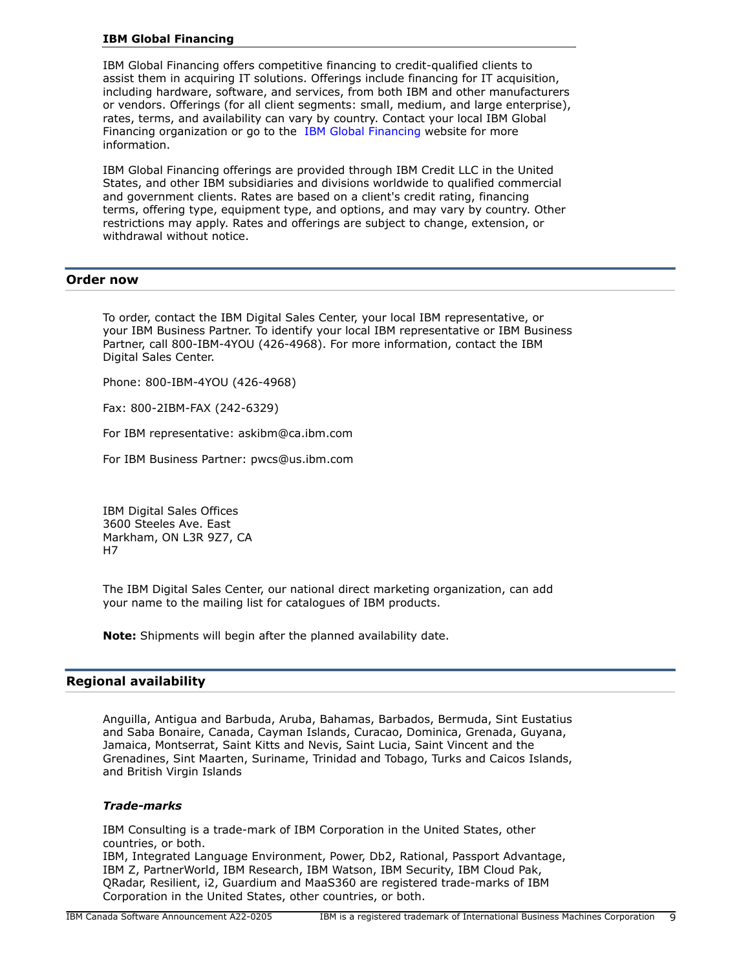## **IBM Global Financing**

IBM Global Financing offers competitive financing to credit-qualified clients to assist them in acquiring IT solutions. Offerings include financing for IT acquisition, including hardware, software, and services, from both IBM and other manufacturers or vendors. Offerings (for all client segments: small, medium, and large enterprise), rates, terms, and availability can vary by country. Contact your local IBM Global Financing organization or go to the [IBM Global Financing](http://www.ibm.com/financing) website for more information.

IBM Global Financing offerings are provided through IBM Credit LLC in the United States, and other IBM subsidiaries and divisions worldwide to qualified commercial and government clients. Rates are based on a client's credit rating, financing terms, offering type, equipment type, and options, and may vary by country. Other restrictions may apply. Rates and offerings are subject to change, extension, or withdrawal without notice.

## <span id="page-8-0"></span>**Order now**

To order, contact the IBM Digital Sales Center, your local IBM representative, or your IBM Business Partner. To identify your local IBM representative or IBM Business Partner, call 800-IBM-4YOU (426-4968). For more information, contact the IBM Digital Sales Center.

Phone: 800-IBM-4YOU (426-4968)

Fax: 800-2IBM-FAX (242-6329)

For IBM representative: askibm@ca.ibm.com

For IBM Business Partner: pwcs@us.ibm.com

IBM Digital Sales Offices 3600 Steeles Ave. East Markham, ON L3R 9Z7, CA H7

The IBM Digital Sales Center, our national direct marketing organization, can add your name to the mailing list for catalogues of IBM products.

**Note:** Shipments will begin after the planned availability date.

# <span id="page-8-1"></span>**Regional availability**

Anguilla, Antigua and Barbuda, Aruba, Bahamas, Barbados, Bermuda, Sint Eustatius and Saba Bonaire, Canada, Cayman Islands, Curacao, Dominica, Grenada, Guyana, Jamaica, Montserrat, Saint Kitts and Nevis, Saint Lucia, Saint Vincent and the Grenadines, Sint Maarten, Suriname, Trinidad and Tobago, Turks and Caicos Islands, and British Virgin Islands

## *Trade-marks*

IBM Consulting is a trade-mark of IBM Corporation in the United States, other countries, or both. IBM, Integrated Language Environment, Power, Db2, Rational, Passport Advantage, IBM Z, PartnerWorld, IBM Research, IBM Watson, IBM Security, IBM Cloud Pak, QRadar, Resilient, i2, Guardium and MaaS360 are registered trade-marks of IBM Corporation in the United States, other countries, or both.